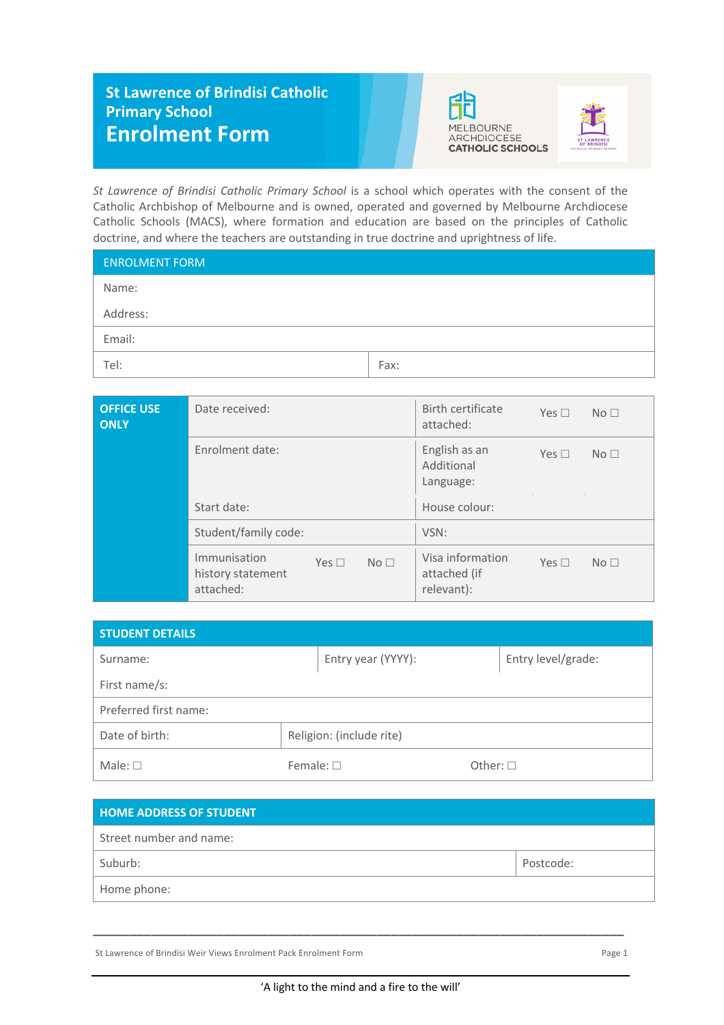## **St Lawrence of Brindisi Catholic Primary School Enrolment Form**





*St Lawrence of Brindisi Catholic Primary School* is a school which operates with the consent of the Catholic Archbishop of Melbourne and is owned, operated and governed by Melbourne Archdiocese Catholic Schools (MACS), where formation and education are based on the principles of Catholic doctrine, and where the teachers are outstanding in true doctrine and uprightness of life.

| <b>ENROLMENT FORM</b> |      |
|-----------------------|------|
| Name:                 |      |
| Address:              |      |
| Email:                |      |
| Tel:                  | Fax: |

| <b>OFFICE USE</b><br><b>ONLY</b> | Date received:                                 |            |                 | Birth certificate<br>attached:                 | Yes $\Box$    | No <sub>1</sub> |
|----------------------------------|------------------------------------------------|------------|-----------------|------------------------------------------------|---------------|-----------------|
|                                  | Enrolment date:                                |            |                 | English as an<br>Additional<br>Language:       | Yes $\square$ | No <sub>1</sub> |
|                                  | Start date:                                    |            |                 | House colour:                                  |               |                 |
|                                  | Student/family code:                           |            |                 | VSN:                                           |               |                 |
|                                  | Immunisation<br>history statement<br>attached: | Yes $\Box$ | No <sub>1</sub> | Visa information<br>attached (if<br>relevant): | Yes $\square$ | No <sub>1</sub> |

| STUDENT DETAILS       |                          |                  |                    |
|-----------------------|--------------------------|------------------|--------------------|
| Surname:              | Entry year (YYYY):       |                  | Entry level/grade: |
| First name/s:         |                          |                  |                    |
| Preferred first name: |                          |                  |                    |
| Date of birth:        | Religion: (include rite) |                  |                    |
| Male: $\square$       | Female: $\square$        | Other: $\square$ |                    |

| <b>HOME ADDRESS OF STUDENT</b> |           |
|--------------------------------|-----------|
| Street number and name:        |           |
| Suburb:                        | Postcode: |
| Home phone:                    |           |

St Lawrence of Brindisi Weir Views Enrolment Pack Enrolment Form enteries and the page 1 Page 1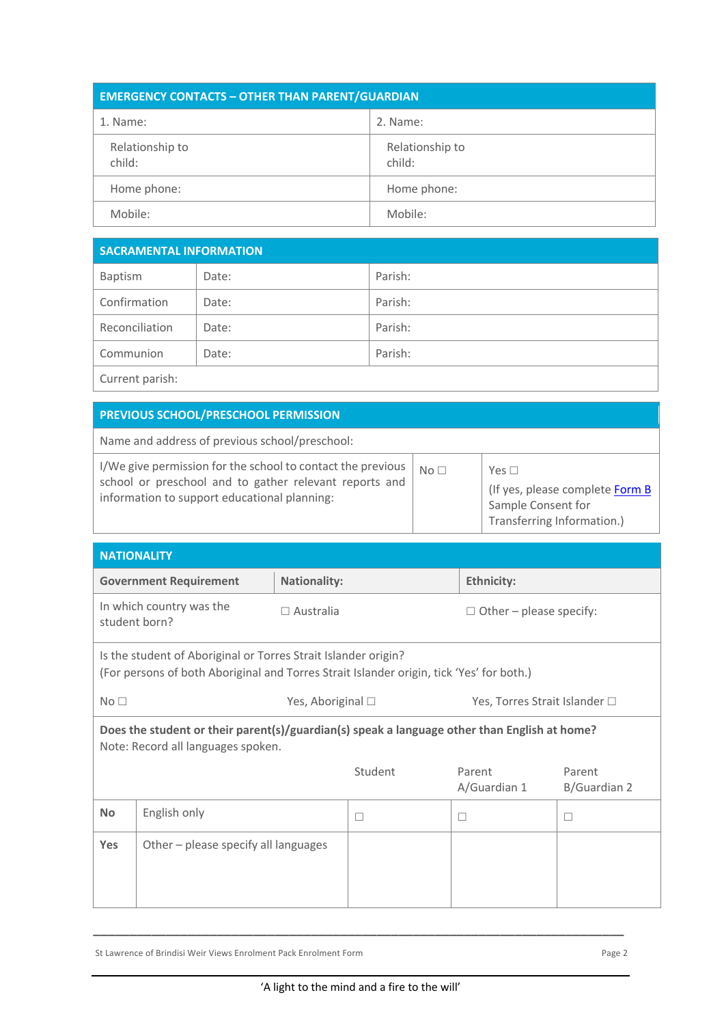| <b>EMERGENCY CONTACTS - OTHER THAN PARENT/GUARDIAN</b> |                           |  |
|--------------------------------------------------------|---------------------------|--|
| 1. Name:                                               | 2. Name:                  |  |
| Relationship to<br>child:                              | Relationship to<br>child: |  |
| Home phone:                                            | Home phone:               |  |
| Mobile:                                                | Mobile:                   |  |

| <b>SACRAMENTAL INFORMATION</b> |       |         |
|--------------------------------|-------|---------|
| Baptism                        | Date: | Parish: |
| Confirmation                   | Date: | Parish: |
| Reconciliation                 | Date: | Parish: |
| Communion                      | Date: | Parish: |
| Current parish:                |       |         |

| PREVIOUS SCHOOL/PRESCHOOL PERMISSION |  |  |
|--------------------------------------|--|--|

 $\mathbf{I}$ 

Name and address of previous school/preschool:

| I/We give permission for the school to contact the previous<br>school or preschool and to gather relevant reports and<br>information to support educational planning: | $N \cap \Box$ | Yes $\Box$<br>(If yes, please complete Form B<br>Sample Consent for<br>Transferring Information.) |
|-----------------------------------------------------------------------------------------------------------------------------------------------------------------------|---------------|---------------------------------------------------------------------------------------------------|
|-----------------------------------------------------------------------------------------------------------------------------------------------------------------------|---------------|---------------------------------------------------------------------------------------------------|

| <b>NATIONALITY</b>                                                                                                                                         |                                      |                     |                   |                        |                                |  |
|------------------------------------------------------------------------------------------------------------------------------------------------------------|--------------------------------------|---------------------|-------------------|------------------------|--------------------------------|--|
|                                                                                                                                                            | <b>Government Requirement</b>        | <b>Nationality:</b> |                   | <b>Ethnicity:</b>      |                                |  |
| student born?                                                                                                                                              | In which country was the             | $\Box$ Australia    |                   |                        | $\Box$ Other – please specify: |  |
| Is the student of Aboriginal or Torres Strait Islander origin?<br>(For persons of both Aboriginal and Torres Strait Islander origin, tick 'Yes' for both.) |                                      |                     |                   |                        |                                |  |
| No <sub>1</sub>                                                                                                                                            |                                      |                     | Yes, Aboriginal □ |                        | Yes, Torres Strait Islander □  |  |
| Does the student or their parent(s)/guardian(s) speak a language other than English at home?<br>Note: Record all languages spoken.                         |                                      |                     |                   |                        |                                |  |
|                                                                                                                                                            |                                      |                     | Student           | Parent<br>A/Guardian 1 | Parent<br>B/Guardian 2         |  |
| <b>No</b>                                                                                                                                                  | English only                         |                     | П                 | □                      | $\Box$                         |  |
| Yes                                                                                                                                                        | Other - please specify all languages |                     |                   |                        |                                |  |
|                                                                                                                                                            |                                      |                     |                   |                        |                                |  |

St Lawrence of Brindisi Weir Views Enrolment Pack Enrolment Form Page 2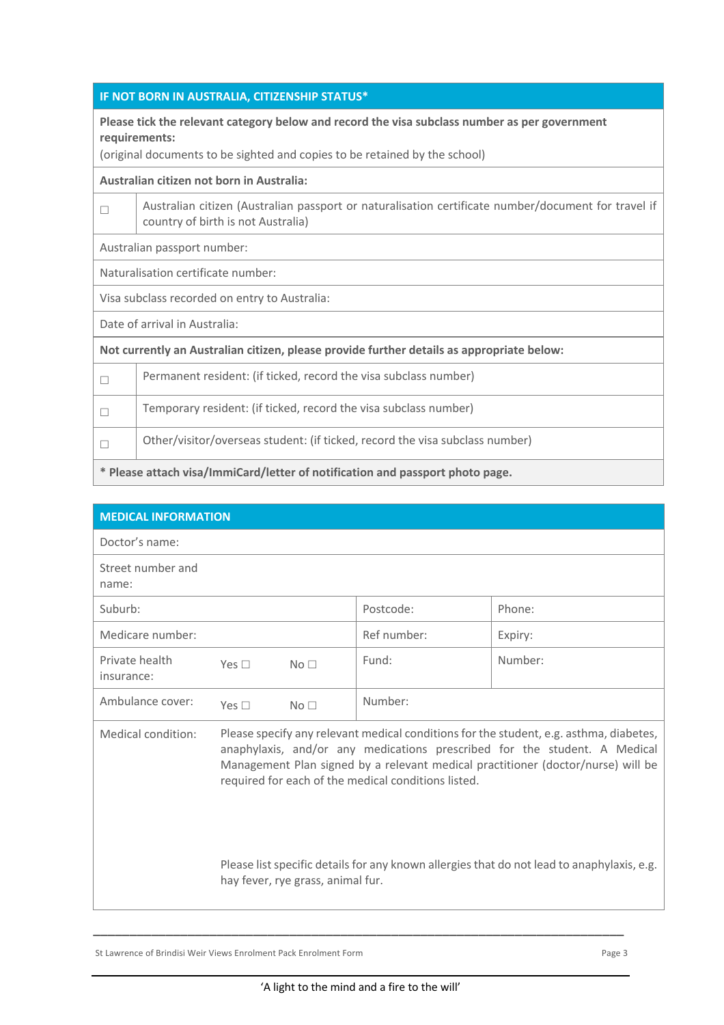|  | IF NOT BORN IN AUSTRALIA, CITIZENSHIP STATUS* |  |
|--|-----------------------------------------------|--|
|  |                                               |  |

**Please tick the relevant category below and record the visa subclass number as per government requirements:**

(original documents to be sighted and copies to be retained by the school)

## **Australian citizen not born in Australia:**

| Australian citizen (Australian passport or naturalisation certificate number/document for travel if |
|-----------------------------------------------------------------------------------------------------|
| country of birth is not Australia)                                                                  |

Australian passport number:

Naturalisation certificate number:

Visa subclass recorded on entry to Australia:

Date of arrival in Australia:

**Not currently an Australian citizen, please provide further details as appropriate below:**

| * Please attach visa/ImmiCard/letter of notification and passport photo page. |                                                                              |
|-------------------------------------------------------------------------------|------------------------------------------------------------------------------|
|                                                                               | Other/visitor/overseas student: (if ticked, record the visa subclass number) |
| $\Box$                                                                        | Temporary resident: (if ticked, record the visa subclass number)             |
| $\Box$                                                                        | Permanent resident: (if ticked, record the visa subclass number)             |

| <b>MEDICAL INFORMATION</b>   |                                                                                                                                                                                                                                                                                                                |                 |             |         |
|------------------------------|----------------------------------------------------------------------------------------------------------------------------------------------------------------------------------------------------------------------------------------------------------------------------------------------------------------|-----------------|-------------|---------|
| Doctor's name:               |                                                                                                                                                                                                                                                                                                                |                 |             |         |
| Street number and<br>name:   |                                                                                                                                                                                                                                                                                                                |                 |             |         |
| Suburb:                      |                                                                                                                                                                                                                                                                                                                |                 | Postcode:   | Phone:  |
| Medicare number:             |                                                                                                                                                                                                                                                                                                                |                 | Ref number: | Expiry: |
| Private health<br>insurance: | Yes $\Box$                                                                                                                                                                                                                                                                                                     | No <sub>1</sub> | Fund:       | Number: |
| Ambulance cover:             | Yes $\square$                                                                                                                                                                                                                                                                                                  | No <sub>1</sub> | Number:     |         |
| Medical condition:           | Please specify any relevant medical conditions for the student, e.g. asthma, diabetes,<br>anaphylaxis, and/or any medications prescribed for the student. A Medical<br>Management Plan signed by a relevant medical practitioner (doctor/nurse) will be<br>required for each of the medical conditions listed. |                 |             |         |
|                              | Please list specific details for any known allergies that do not lead to anaphylaxis, e.g.<br>hay fever, rye grass, animal fur.                                                                                                                                                                                |                 |             |         |

St Lawrence of Brindisi Weir Views Enrolment Pack Enrolment Form enteries and the page 3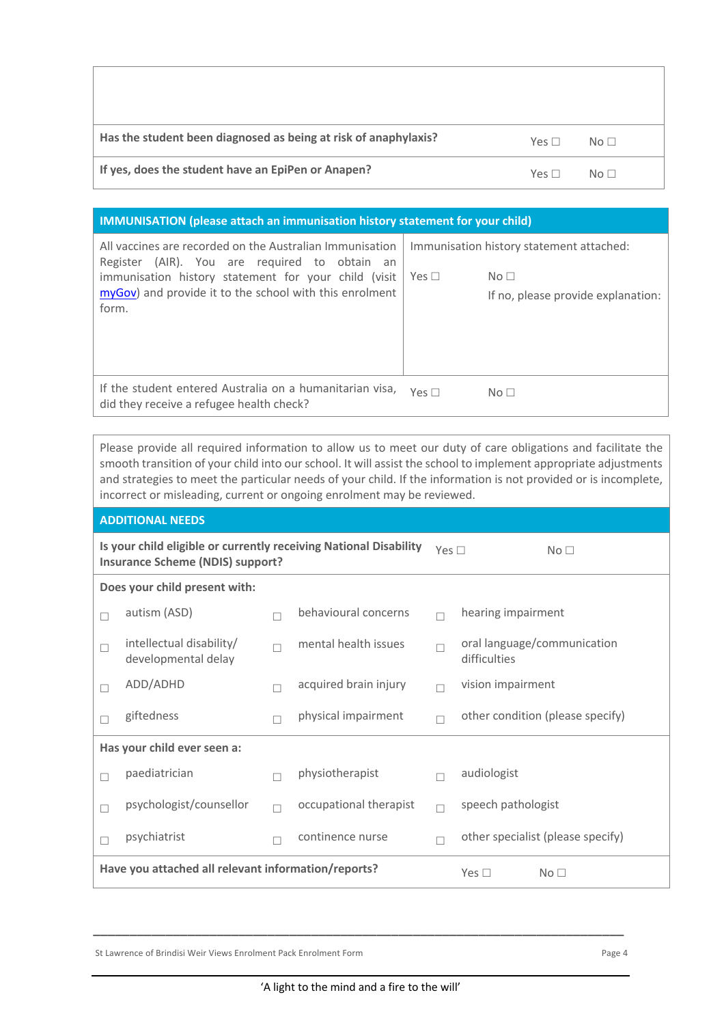| Has the student been diagnosed as being at risk of anaphylaxis? | $Yes \Box$ | No <sub>1</sub> |
|-----------------------------------------------------------------|------------|-----------------|
| If yes, does the student have an EpiPen or Anapen?              | $Yes \Box$ | $N \circ \Box$  |

## **IMMUNISATION (please attach an immunisation history statement for your child)**

| All vaccines are recorded on the Australian Immunisation<br>Register (AIR). You are required to obtain an<br>immunisation history statement for your child (visit<br>myGov) and provide it to the school with this enrolment<br>form. | Yes $\square$ | Immunisation history statement attached:<br>No <sub>1</sub><br>If no, please provide explanation: |
|---------------------------------------------------------------------------------------------------------------------------------------------------------------------------------------------------------------------------------------|---------------|---------------------------------------------------------------------------------------------------|
| If the student entered Australia on a humanitarian visa,<br>did they receive a refugee health check?                                                                                                                                  | $Yes \Box$    | No <sub>1</sub>                                                                                   |

Please provide all required information to allow us to meet our duty of care obligations and facilitate the smooth transition of your child into our school. It will assist the school to implement appropriate adjustments and strategies to meet the particular needs of your child. If the information is not provided or is incomplete, incorrect or misleading, current or ongoing enrolment may be reviewed.

|                                                                                                              | <b>ADDITIONAL NEEDS</b>                             |        |                        |                 |                                             |  |  |
|--------------------------------------------------------------------------------------------------------------|-----------------------------------------------------|--------|------------------------|-----------------|---------------------------------------------|--|--|
| Is your child eligible or currently receiving National Disability<br><b>Insurance Scheme (NDIS) support?</b> |                                                     |        | Yes $\square$          | No <sub>1</sub> |                                             |  |  |
|                                                                                                              | Does your child present with:                       |        |                        |                 |                                             |  |  |
| П                                                                                                            | autism (ASD)                                        |        | behavioural concerns   | $\Box$          | hearing impairment                          |  |  |
| □                                                                                                            | intellectual disability/<br>developmental delay     |        | mental health issues   |                 | oral language/communication<br>difficulties |  |  |
| $\Box$                                                                                                       | ADD/ADHD                                            |        | acquired brain injury  |                 | vision impairment                           |  |  |
| н                                                                                                            | giftedness                                          |        | physical impairment    |                 | other condition (please specify)            |  |  |
|                                                                                                              | Has your child ever seen a:                         |        |                        |                 |                                             |  |  |
| П                                                                                                            | paediatrician                                       |        | physiotherapist        |                 | audiologist                                 |  |  |
| П                                                                                                            | psychologist/counsellor                             | $\Box$ | occupational therapist | $\Box$          | speech pathologist                          |  |  |
| П                                                                                                            | psychiatrist                                        |        | continence nurse       |                 | other specialist (please specify)           |  |  |
|                                                                                                              | Have you attached all relevant information/reports? |        |                        |                 | Yes $\Box$<br>No <sub>1</sub>               |  |  |

St Lawrence of Brindisi Weir Views Enrolment Pack Enrolment Form **Page 4** Page 4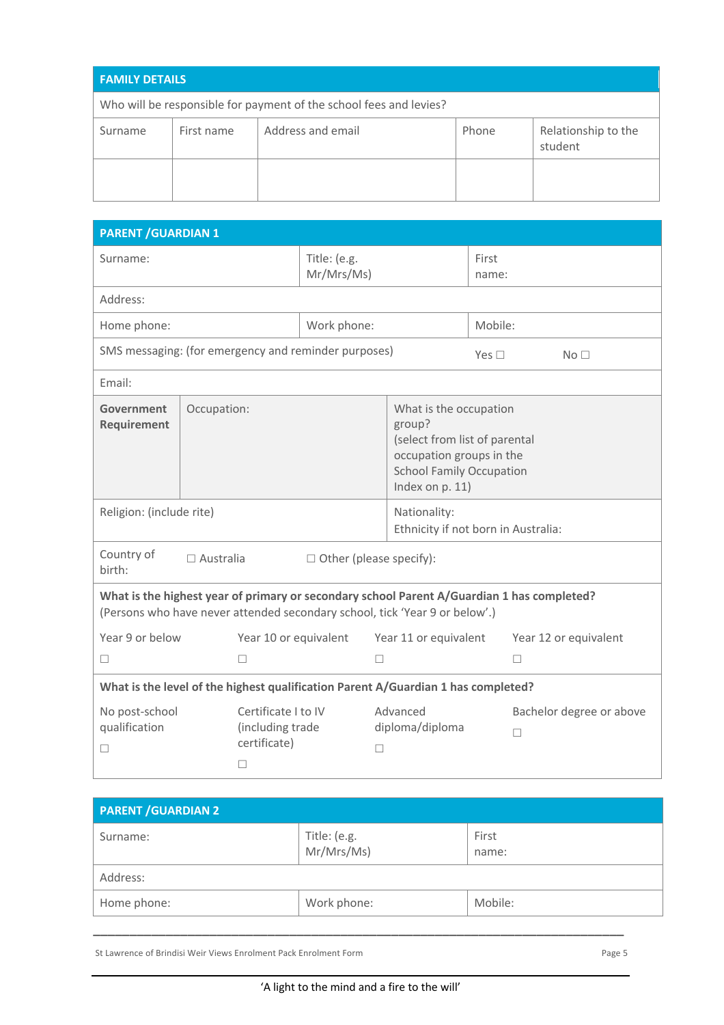| <b>FAMILY DETAILS</b> |            |                                                                    |       |                                |  |  |
|-----------------------|------------|--------------------------------------------------------------------|-------|--------------------------------|--|--|
|                       |            | Who will be responsible for payment of the school fees and levies? |       |                                |  |  |
| Surname               | First name | Address and email                                                  | Phone | Relationship to the<br>student |  |  |
|                       |            |                                                                    |       |                                |  |  |

| <b>PARENT / GUARDIAN 1</b>                                                    |             |                                                              |                                                      |                                                                                                                                                                           |               |                               |  |
|-------------------------------------------------------------------------------|-------------|--------------------------------------------------------------|------------------------------------------------------|---------------------------------------------------------------------------------------------------------------------------------------------------------------------------|---------------|-------------------------------|--|
| Surname:                                                                      |             |                                                              | Title: (e.g.<br>Mr/Mrs/Ms)                           |                                                                                                                                                                           |               | First<br>name:                |  |
| Address:                                                                      |             |                                                              |                                                      |                                                                                                                                                                           |               |                               |  |
| Home phone:                                                                   |             |                                                              | Work phone:                                          |                                                                                                                                                                           | Mobile:       |                               |  |
|                                                                               |             |                                                              | SMS messaging: (for emergency and reminder purposes) |                                                                                                                                                                           | Yes $\square$ | No <sub>1</sub>               |  |
| Email:                                                                        |             |                                                              |                                                      |                                                                                                                                                                           |               |                               |  |
| Government<br>Requirement                                                     | Occupation: |                                                              |                                                      | What is the occupation<br>group?<br>(select from list of parental<br>occupation groups in the<br><b>School Family Occupation</b><br>Index on p. 11)                       |               |                               |  |
| Religion: (include rite)                                                      |             |                                                              |                                                      | Nationality:<br>Ethnicity if not born in Australia:                                                                                                                       |               |                               |  |
| Country of<br>$\square$ Australia<br>$\Box$ Other (please specify):<br>birth: |             |                                                              |                                                      |                                                                                                                                                                           |               |                               |  |
|                                                                               |             |                                                              |                                                      | What is the highest year of primary or secondary school Parent A/Guardian 1 has completed?<br>(Persons who have never attended secondary school, tick 'Year 9 or below'.) |               |                               |  |
| Year 9 or below                                                               |             | Year 10 or equivalent                                        |                                                      | Year 11 or equivalent                                                                                                                                                     |               | Year 12 or equivalent         |  |
| $\Box$                                                                        |             | П                                                            | □                                                    |                                                                                                                                                                           |               | □                             |  |
|                                                                               |             |                                                              |                                                      | What is the level of the highest qualification Parent A/Guardian 1 has completed?                                                                                         |               |                               |  |
| No post-school<br>qualification<br>□                                          |             | Certificate I to IV<br>(including trade<br>certificate)<br>□ | П                                                    | Advanced<br>diploma/diploma                                                                                                                                               |               | Bachelor degree or above<br>П |  |

| <b>PARENT / GUARDIAN 2</b> |                            |                |
|----------------------------|----------------------------|----------------|
| Surname:                   | Title: (e.g.<br>Mr/Mrs/Ms) | First<br>name: |
| Address:                   |                            |                |
| Home phone:                | Work phone:                | Mobile:        |
|                            |                            |                |

St Lawrence of Brindisi Weir Views Enrolment Pack Enrolment Form entity of the State of Brindisi Weir Views Enrolment Pack Enrolment Form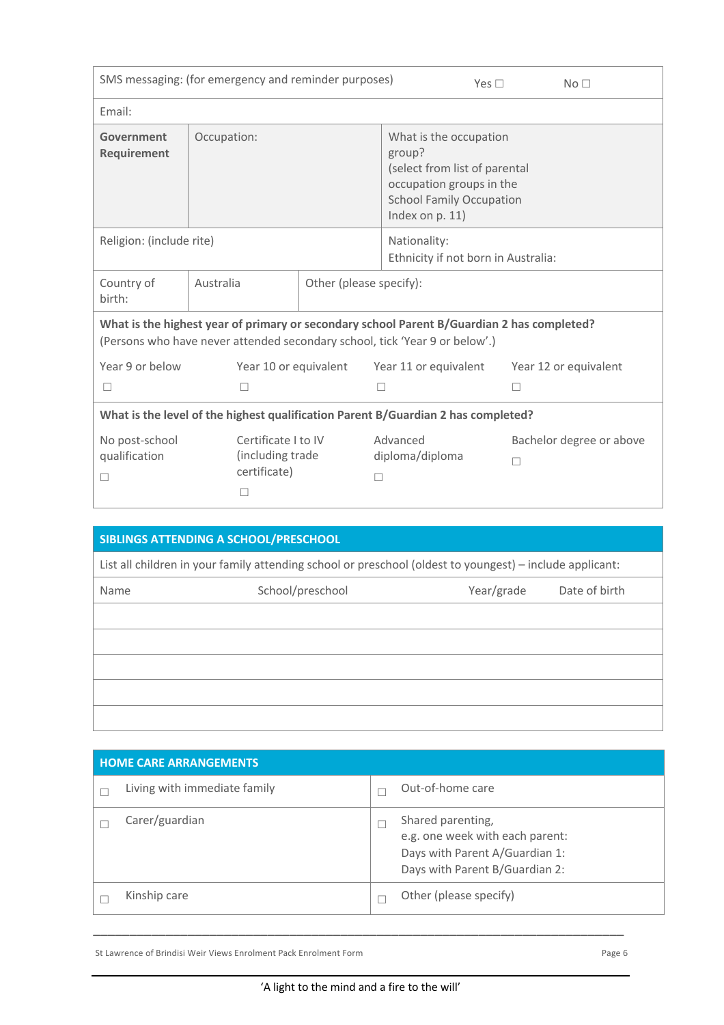|                                      | SMS messaging: (for emergency and reminder purposes)         |                         | Yes $\Box$                                                                                                                                                                |   | No <sub>1</sub>          |  |  |  |
|--------------------------------------|--------------------------------------------------------------|-------------------------|---------------------------------------------------------------------------------------------------------------------------------------------------------------------------|---|--------------------------|--|--|--|
| Email:                               |                                                              |                         |                                                                                                                                                                           |   |                          |  |  |  |
| Government<br>Requirement            | Occupation:                                                  |                         | What is the occupation<br>group?<br>(select from list of parental<br>occupation groups in the<br><b>School Family Occupation</b><br>Index on p. 11)                       |   |                          |  |  |  |
| Religion: (include rite)             |                                                              |                         | Nationality:<br>Ethnicity if not born in Australia:                                                                                                                       |   |                          |  |  |  |
| Country of<br>birth:                 | Australia                                                    | Other (please specify): |                                                                                                                                                                           |   |                          |  |  |  |
|                                      |                                                              |                         | What is the highest year of primary or secondary school Parent B/Guardian 2 has completed?<br>(Persons who have never attended secondary school, tick 'Year 9 or below'.) |   |                          |  |  |  |
| Year 9 or below                      | Year 10 or equivalent                                        |                         | Year 11 or equivalent                                                                                                                                                     |   | Year 12 or equivalent    |  |  |  |
| $\Box$                               | П                                                            |                         | □                                                                                                                                                                         | П |                          |  |  |  |
|                                      |                                                              |                         | What is the level of the highest qualification Parent B/Guardian 2 has completed?                                                                                         |   |                          |  |  |  |
| No post-school<br>qualification<br>□ | Certificate I to IV<br>(including trade<br>certificate)<br>П | П                       | Advanced<br>diploma/diploma                                                                                                                                               | П | Bachelor degree or above |  |  |  |

|      | SIBLINGS ATTENDING A SCHOOL/PRESCHOOL                                                                    |            |               |
|------|----------------------------------------------------------------------------------------------------------|------------|---------------|
|      | List all children in your family attending school or preschool (oldest to youngest) – include applicant: |            |               |
| Name | School/preschool                                                                                         | Year/grade | Date of birth |
|      |                                                                                                          |            |               |
|      |                                                                                                          |            |               |
|      |                                                                                                          |            |               |
|      |                                                                                                          |            |               |
|      |                                                                                                          |            |               |

| <b>HOME CARE ARRANGEMENTS</b> |                                                                                                                          |
|-------------------------------|--------------------------------------------------------------------------------------------------------------------------|
| Living with immediate family  | Out-of-home care                                                                                                         |
| Carer/guardian                | Shared parenting,<br>e.g. one week with each parent:<br>Days with Parent A/Guardian 1:<br>Days with Parent B/Guardian 2: |
| Kinship care                  | Other (please specify)                                                                                                   |

St Lawrence of Brindisi Weir Views Enrolment Pack Enrolment Form entity of the United States of Page 6